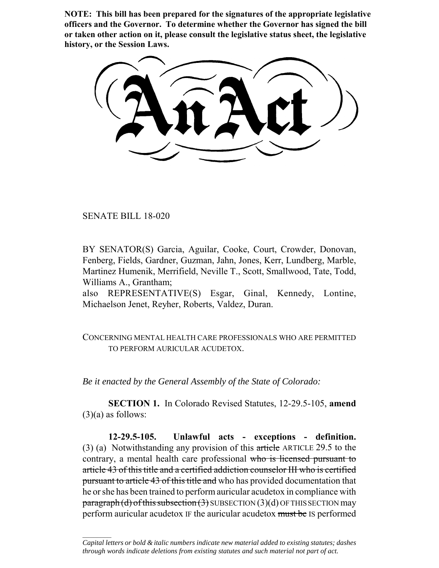**NOTE: This bill has been prepared for the signatures of the appropriate legislative officers and the Governor. To determine whether the Governor has signed the bill or taken other action on it, please consult the legislative status sheet, the legislative history, or the Session Laws.**

SENATE BILL 18-020

 $\frac{1}{2}$ 

BY SENATOR(S) Garcia, Aguilar, Cooke, Court, Crowder, Donovan, Fenberg, Fields, Gardner, Guzman, Jahn, Jones, Kerr, Lundberg, Marble, Martinez Humenik, Merrifield, Neville T., Scott, Smallwood, Tate, Todd, Williams A., Grantham;

also REPRESENTATIVE(S) Esgar, Ginal, Kennedy, Lontine, Michaelson Jenet, Reyher, Roberts, Valdez, Duran.

CONCERNING MENTAL HEALTH CARE PROFESSIONALS WHO ARE PERMITTED TO PERFORM AURICULAR ACUDETOX.

*Be it enacted by the General Assembly of the State of Colorado:*

**SECTION 1.** In Colorado Revised Statutes, 12-29.5-105, **amend**  $(3)(a)$  as follows:

**12-29.5-105. Unlawful acts - exceptions - definition.** (3) (a) Notwithstanding any provision of this article ARTICLE 29.5 to the contrary, a mental health care professional who is licensed pursuant to article 43 of this title and a certified addiction counselor III who is certified pursuant to article 43 of this title and who has provided documentation that he or she has been trained to perform auricular acudetox in compliance with  $\frac{\text{pargraph}}{d}$  of this subsection (3) SUBSECTION (3)(d) OF THIS SECTION may perform auricular acudetox IF the auricular acudetox must be IS performed

*Capital letters or bold & italic numbers indicate new material added to existing statutes; dashes through words indicate deletions from existing statutes and such material not part of act.*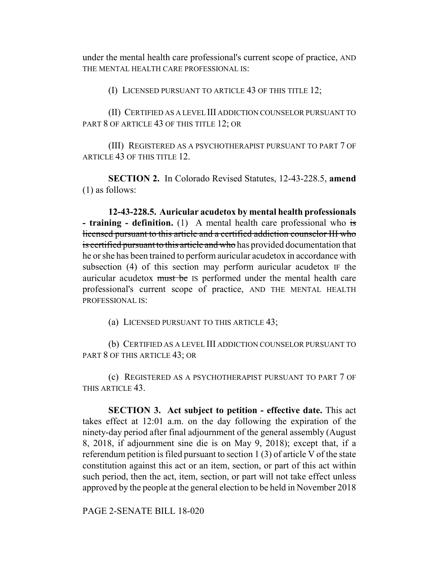under the mental health care professional's current scope of practice, AND THE MENTAL HEALTH CARE PROFESSIONAL IS:

(I) LICENSED PURSUANT TO ARTICLE 43 OF THIS TITLE 12;

(II) CERTIFIED AS A LEVEL III ADDICTION COUNSELOR PURSUANT TO PART 8 OF ARTICLE 43 OF THIS TITLE 12; OR

(III) REGISTERED AS A PSYCHOTHERAPIST PURSUANT TO PART 7 OF ARTICLE 43 OF THIS TITLE 12.

**SECTION 2.** In Colorado Revised Statutes, 12-43-228.5, **amend** (1) as follows:

**12-43-228.5. Auricular acudetox by mental health professionals - training - definition.** (1) A mental health care professional who is licensed pursuant to this article and a certified addiction counselor III who is certified pursuant to this article and who has provided documentation that he or she has been trained to perform auricular acudetox in accordance with subsection (4) of this section may perform auricular acudetox IF the auricular acudetox must be IS performed under the mental health care professional's current scope of practice, AND THE MENTAL HEALTH PROFESSIONAL IS:

(a) LICENSED PURSUANT TO THIS ARTICLE 43;

(b) CERTIFIED AS A LEVEL III ADDICTION COUNSELOR PURSUANT TO PART 8 OF THIS ARTICLE 43; OR

(c) REGISTERED AS A PSYCHOTHERAPIST PURSUANT TO PART 7 OF THIS ARTICLE 43.

**SECTION 3. Act subject to petition - effective date.** This act takes effect at 12:01 a.m. on the day following the expiration of the ninety-day period after final adjournment of the general assembly (August 8, 2018, if adjournment sine die is on May 9, 2018); except that, if a referendum petition is filed pursuant to section 1 (3) of article V of the state constitution against this act or an item, section, or part of this act within such period, then the act, item, section, or part will not take effect unless approved by the people at the general election to be held in November 2018

PAGE 2-SENATE BILL 18-020